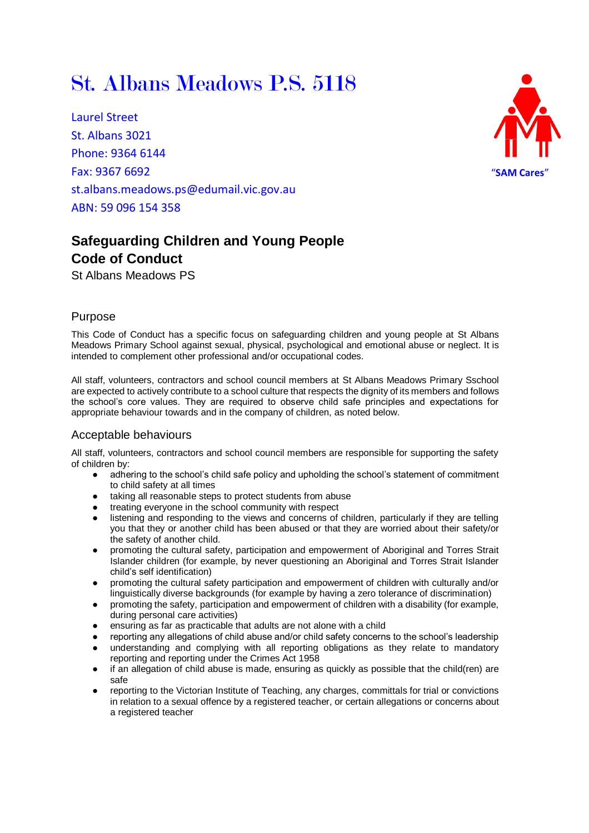# St. Albans Meadows P.S. 5118

Laurel Street St. Albans 3021 Phone: 9364 6144 Fax: 9367 6692 st.albans.meadows.ps@edumail.vic.gov.au ABN: 59 096 154 358



## **Safeguarding Children and Young People Code of Conduct**

St Albans Meadows PS

#### Purpose

This Code of Conduct has a specific focus on safeguarding children and young people at St Albans Meadows Primary School against sexual, physical, psychological and emotional abuse or neglect. It is intended to complement other professional and/or occupational codes.

All staff, volunteers, contractors and school council members at St Albans Meadows Primary Sschool are expected to actively contribute to a school culture that respects the dignity of its members and follows the school's core values. They are required to observe child safe principles and expectations for appropriate behaviour towards and in the company of children, as noted below.

#### Acceptable behaviours

All staff, volunteers, contractors and school council members are responsible for supporting the safety of children by:

- adhering to the school's child safe policy and upholding the school's statement of commitment to child safety at all times
- taking all reasonable steps to protect students from abuse
- treating everyone in the school community with respect
- listening and responding to the views and concerns of children, particularly if they are telling you that they or another child has been abused or that they are worried about their safety/or the safety of another child.
- promoting the cultural safety, participation and empowerment of Aboriginal and Torres Strait Islander children (for example, by never questioning an Aboriginal and Torres Strait Islander child's self identification)
- promoting the cultural safety participation and empowerment of children with culturally and/or linguistically diverse backgrounds (for example by having a zero tolerance of discrimination)
- promoting the safety, participation and empowerment of children with a disability (for example, during personal care activities)
- ensuring as far as practicable that adults are not alone with a child
- reporting any allegations of child abuse and/or child safety concerns to the school's leadership understanding and complying with all reporting obligations as they relate to mandatory reporting and reporting under the Crimes Act 1958
- if an allegation of child abuse is made, ensuring as quickly as possible that the child(ren) are safe
- reporting to the Victorian Institute of Teaching, any charges, committals for trial or convictions in relation to a sexual offence by a registered teacher, or certain allegations or concerns about a registered teacher